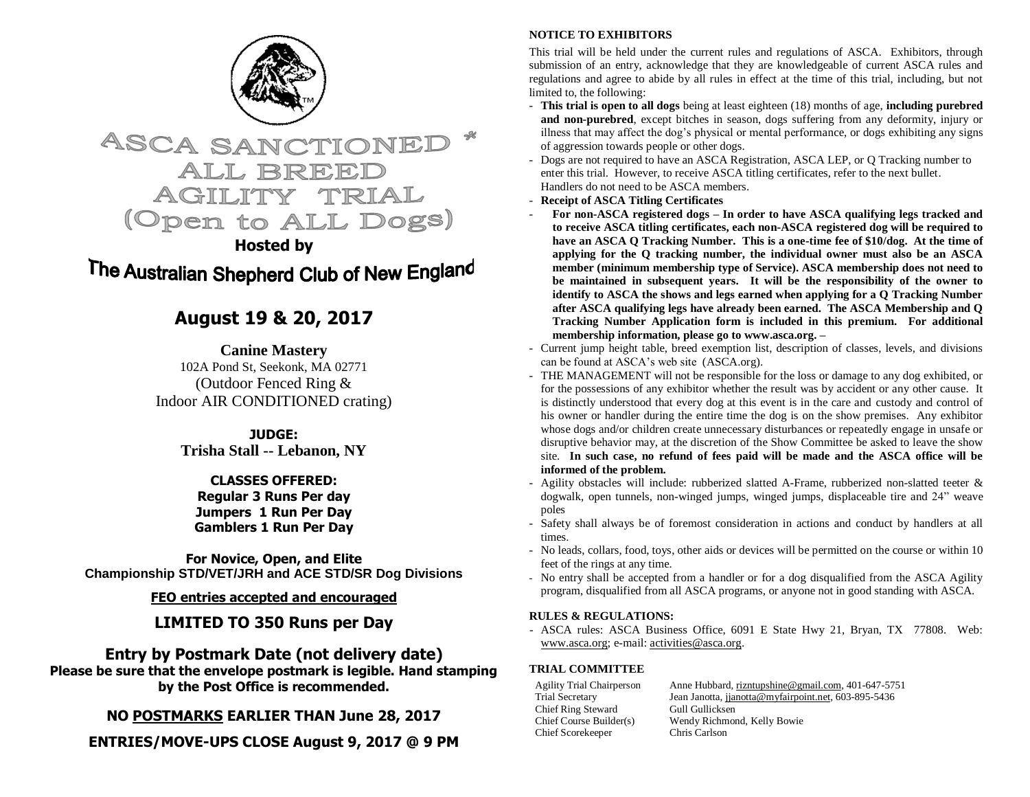



**Hosted by**

# The Australian Shepherd Club of New England

## **August 19 & 20, 2017**

**Canine Mastery** 102A Pond St, Seekonk, MA 02771 (Outdoor Fenced Ring & Indoor AIR CONDITIONED crating)

> **JUDGE: Trisha Stall -- Lebanon, NY**

## **CLASSES OFFERED:**

**Regular 3 Runs Per day Jumpers 1 Run Per Day Gamblers 1 Run Per Day**

**For Novice, Open, and Elite Championship STD/VET/JRH and ACE STD/SR Dog Divisions**

**FEO entries accepted and encouraged**

## **LIMITED TO 350 Runs per Day**

## **Entry by Postmark Date (not delivery date)**

**Please be sure that the envelope postmark is legible. Hand stamping by the Post Office is recommended.** 

**NO POSTMARKS EARLIER THAN June 28, 2017**

**ENTRIES/MOVE-UPS CLOSE August 9, 2017 @ 9 PM**

## **NOTICE TO EXHIBITORS**

This trial will be held under the current rules and regulations of ASCA. Exhibitors, through submission of an entry, acknowledge that they are knowledgeable of current ASCA rules and regulations and agree to abide by all rules in effect at the time of this trial, including, but not limited to, the following:

- **This trial is open to all dogs** being at least eighteen (18) months of age, **including purebred and non-purebred**, except bitches in season, dogs suffering from any deformity, injury or illness that may affect the dog's physical or mental performance, or dogs exhibiting any signs of aggression towards people or other dogs.
- Dogs are not required to have an ASCA Registration, ASCA LEP, or Q Tracking number to enter this trial. However, to receive ASCA titling certificates, refer to the next bullet. Handlers do not need to be ASCA members.
- **Receipt of ASCA Titling Certificates**
- **For non-ASCA registered dogs – In order to have ASCA qualifying legs tracked and to receive ASCA titling certificates, each non-ASCA registered dog will be required to have an ASCA Q Tracking Number. This is a one-time fee of \$10/dog. At the time of applying for the Q tracking number, the individual owner must also be an ASCA member (minimum membership type of Service). ASCA membership does not need to be maintained in subsequent years. It will be the responsibility of the owner to identify to ASCA the shows and legs earned when applying for a Q Tracking Number after ASCA qualifying legs have already been earned. The ASCA Membership and Q Tracking Number Application form is included in this premium. For additional membership information, please go to www.asca.org. –**
- Current jump height table, breed exemption list, description of classes, levels, and divisions can be found at ASCA's web site (ASCA.org).
- THE MANAGEMENT will not be responsible for the loss or damage to any dog exhibited, or for the possessions of any exhibitor whether the result was by accident or any other cause. It is distinctly understood that every dog at this event is in the care and custody and control of his owner or handler during the entire time the dog is on the show premises. Any exhibitor whose dogs and/or children create unnecessary disturbances or repeatedly engage in unsafe or disruptive behavior may, at the discretion of the Show Committee be asked to leave the show site. **In such case, no refund of fees paid will be made and the ASCA office will be informed of the problem.**
- Agility obstacles will include: rubberized slatted A-Frame, rubberized non-slatted teeter & dogwalk, open tunnels, non-winged jumps, winged jumps, displaceable tire and 24" weave poles
- Safety shall always be of foremost consideration in actions and conduct by handlers at all times.
- No leads, collars, food, toys, other aids or devices will be permitted on the course or within 10 feet of the rings at any time.
- No entry shall be accepted from a handler or for a dog disqualified from the ASCA Agility program, disqualified from all ASCA programs, or anyone not in good standing with ASCA.

## **RULES & REGULATIONS:**

- ASCA rules: ASCA Business Office, 6091 E State Hwy 21, Bryan, TX 77808. Web: [www.asca.org;](http://www.asca.org/) e-mail: [activities@asca.org.](mailto:activities@asca.org) 

## **TRIAL COMMITTEE**

Chief Ring Steward Gull Gullicksen<br>Chief Course Builder(s) Wendy Richmor Chief Scorekeeper Chris Carlson

Agility Trial Chairperson Anne Hubbard[, rizntupshine@gmail.com,](mailto:rizntupshine@gmail.com) 401-647-5751 Trial Secretary Jean Janotta, jianotta@myfairpoint.net, 603-895-5436 Wendy Richmond, Kelly Bowie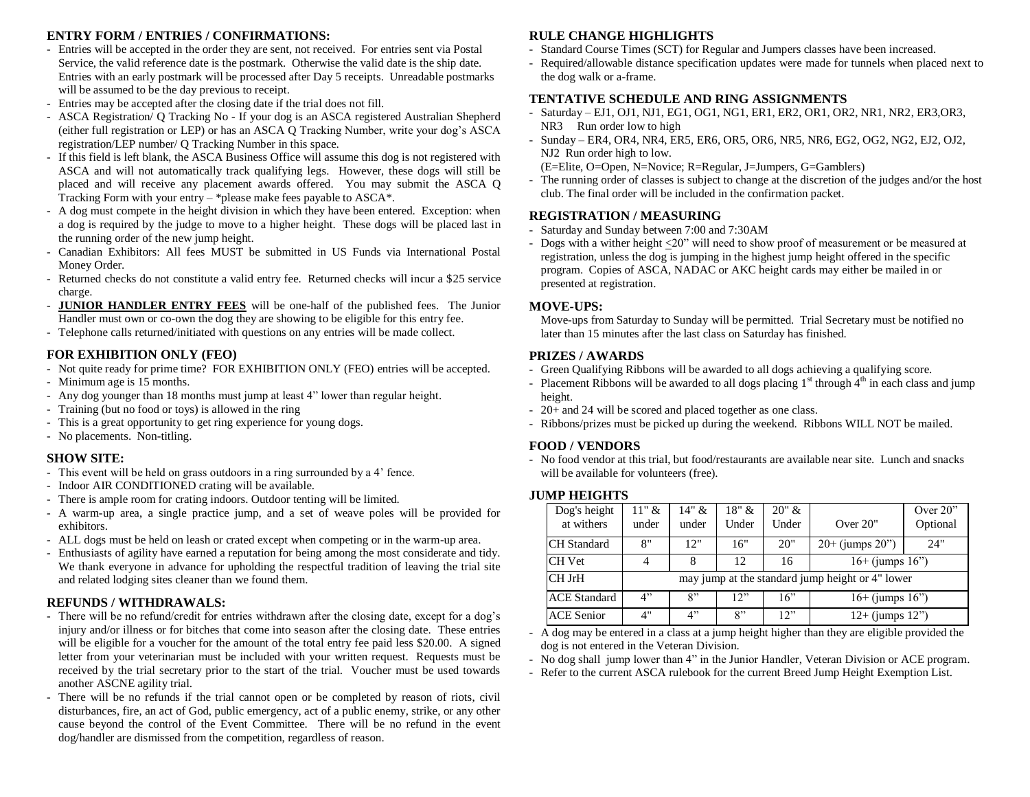## **ENTRY FORM / ENTRIES / CONFIRMATIONS:**

- Entries will be accepted in the order they are sent, not received. For entries sent via Postal Service, the valid reference date is the postmark. Otherwise the valid date is the ship date. Entries with an early postmark will be processed after Day 5 receipts. Unreadable postmarks will be assumed to be the day previous to receipt.
- Entries may be accepted after the closing date if the trial does not fill.
- ASCA Registration/ Q Tracking No If your dog is an ASCA registered Australian Shepherd (either full registration or LEP) or has an ASCA Q Tracking Number, write your dog's ASCA registration/LEP number/ Q Tracking Number in this space.
- If this field is left blank, the ASCA Business Office will assume this dog is not registered with ASCA and will not automatically track qualifying legs. However, these dogs will still be placed and will receive any placement awards offered. You may submit the ASCA Q Tracking Form with your entry – \*please make fees payable to ASCA\*.
- A dog must compete in the height division in which they have been entered. Exception: when a dog is required by the judge to move to a higher height. These dogs will be placed last in the running order of the new jump height.
- Canadian Exhibitors: All fees MUST be submitted in US Funds via International Postal Money Order.
- Returned checks do not constitute a valid entry fee. Returned checks will incur a \$25 service charge.
- **JUNIOR HANDLER ENTRY FEES** will be one-half of the published fees. The Junior Handler must own or co-own the dog they are showing to be eligible for this entry fee.
- Telephone calls returned/initiated with questions on any entries will be made collect.

#### **FOR EXHIBITION ONLY (FEO)**

- Not quite ready for prime time? FOR EXHIBITION ONLY (FEO) entries will be accepted.
- Minimum age is 15 months.
- Any dog younger than 18 months must jump at least 4" lower than regular height.
- Training (but no food or toys) is allowed in the ring
- This is a great opportunity to get ring experience for young dogs.
- No placements. Non-titling.

#### **SHOW SITE:**

- This event will be held on grass outdoors in a ring surrounded by a 4' fence.
- Indoor AIR CONDITIONED crating will be available.
- There is ample room for crating indoors. Outdoor tenting will be limited.
- A warm-up area, a single practice jump, and a set of weave poles will be provided for exhibitors.
- ALL dogs must be held on leash or crated except when competing or in the warm-up area.
- Enthusiasts of agility have earned a reputation for being among the most considerate and tidy. We thank everyone in advance for upholding the respectful tradition of leaving the trial site and related lodging sites cleaner than we found them.

#### **REFUNDS / WITHDRAWALS:**

- There will be no refund/credit for entries withdrawn after the closing date, except for a dog's injury and/or illness or for bitches that come into season after the closing date. These entries will be eligible for a voucher for the amount of the total entry fee paid less \$20.00. A signed letter from your veterinarian must be included with your written request. Requests must be received by the trial secretary prior to the start of the trial. Voucher must be used towards another ASCNE agility trial.
- There will be no refunds if the trial cannot open or be completed by reason of riots, civil disturbances, fire, an act of God, public emergency, act of a public enemy, strike, or any other cause beyond the control of the Event Committee. There will be no refund in the event dog/handler are dismissed from the competition, regardless of reason.

### **RULE CHANGE HIGHLIGHTS**

- Standard Course Times (SCT) for Regular and Jumpers classes have been increased.
- Required/allowable distance specification updates were made for tunnels when placed next to the dog walk or a-frame.

#### **TENTATIVE SCHEDULE AND RING ASSIGNMENTS**

- Saturday EJ1, OJ1, NJ1, EG1, OG1, NG1, ER1, ER2, OR1, OR2, NR1, NR2, ER3,OR3, NR3 Run order low to high
- Sunday ER4, OR4, NR4, ER5, ER6, OR5, OR6, NR5, NR6, EG2, OG2, NG2, EJ2, OJ2, NJ2 Run order high to low.
- (E=Elite, O=Open, N=Novice; R=Regular, J=Jumpers, G=Gamblers)
- The running order of classes is subject to change at the discretion of the judges and/or the host club. The final order will be included in the confirmation packet.

#### **REGISTRATION / MEASURING**

- Saturday and Sunday between 7:00 and 7:30AM
- Dogs with a wither height <20" will need to show proof of measurement or be measured at registration, unless the dog is jumping in the highest jump height offered in the specific program. Copies of ASCA, NADAC or AKC height cards may either be mailed in or presented at registration.

#### **MOVE-UPS:**

Move-ups from Saturday to Sunday will be permitted. Trial Secretary must be notified no later than 15 minutes after the last class on Saturday has finished.

#### **PRIZES / AWARDS**

- Green Qualifying Ribbons will be awarded to all dogs achieving a qualifying score.
- Placement Ribbons will be awarded to all dogs placing  $1<sup>st</sup>$  through  $4<sup>th</sup>$  in each class and jump height.
- 20+ and 24 will be scored and placed together as one class.
- Ribbons/prizes must be picked up during the weekend. Ribbons WILL NOT be mailed.

#### **FOOD / VENDORS**

- No food vendor at this trial, but food/restaurants are available near site. Lunch and snacks will be available for volunteers (free).

#### **JUMP HEIGHTS**

| Dog's height        | $11"$ &                                          | $14" \&$ | 18" & | 20" & |                      | Over $20$ " |  |  |  |
|---------------------|--------------------------------------------------|----------|-------|-------|----------------------|-------------|--|--|--|
| at withers          | under                                            | under    | Under | Under | Over $20$ "          | Optional    |  |  |  |
| <b>CH</b> Standard  | 8"                                               | 12"      | 16"   | 20"   | $20+$ (jumps $20"$ ) | 24"         |  |  |  |
| <b>CH</b> Vet       |                                                  |          | 12    | 16    | $16+$ (jumps $16"$ ) |             |  |  |  |
| <b>CH JrH</b>       | may jump at the standard jump height or 4" lower |          |       |       |                      |             |  |  |  |
| <b>ACE</b> Standard | 4"                                               | 8"       | 12"   | 16"   | $16+$ (jumps $16"$ ) |             |  |  |  |
| <b>ACE Senior</b>   | 4"                                               | 4"       | 8"    | 12"   | $12+$ (jumps $12"$ ) |             |  |  |  |

- A dog may be entered in a class at a jump height higher than they are eligible provided the dog is not entered in the Veteran Division.

- No dog shall jump lower than 4" in the Junior Handler, Veteran Division or ACE program.
- Refer to the current ASCA rulebook for the current Breed Jump Height Exemption List.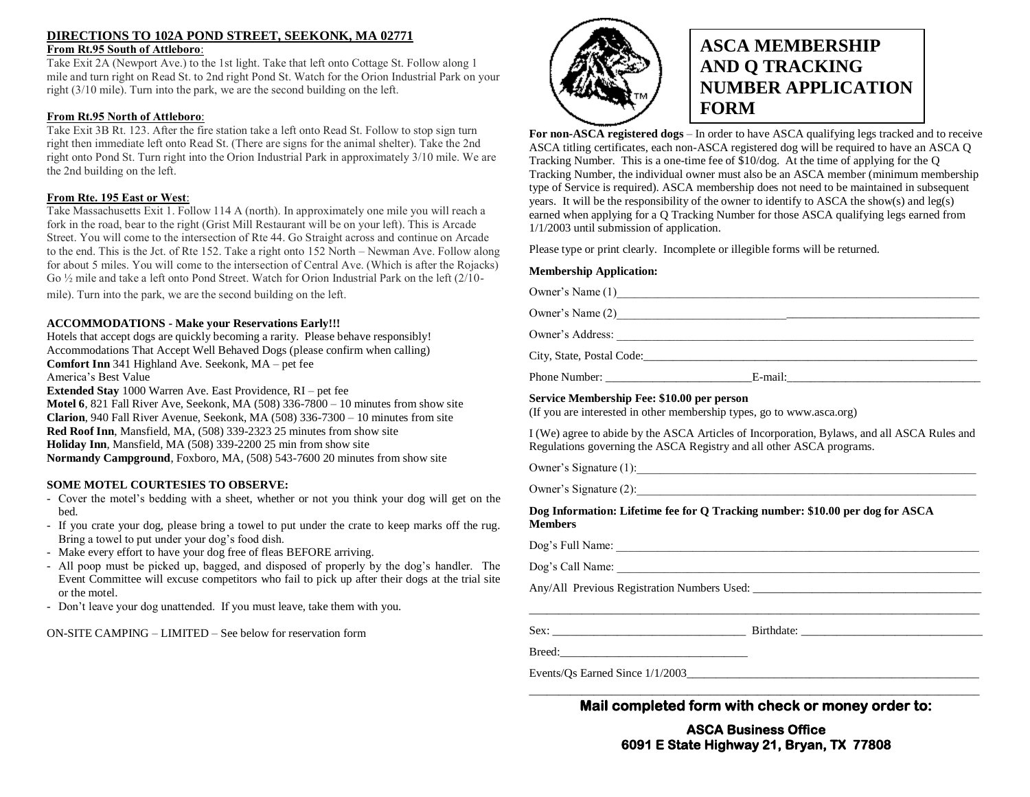#### **DIRECTIONS TO 102A POND STREET, SEEKONK, MA 02771 From Rt.95 South of Attleboro**:

Take Exit 2A (Newport Ave.) to the 1st light. Take that left onto Cottage St. Follow along 1 mile and turn right on Read St. to 2nd right Pond St. Watch for the Orion Industrial Park on your right (3/10 mile). Turn into the park, we are the second building on the left.

#### **From Rt.95 North of Attleboro**:

Take Exit 3B Rt. 123. After the fire station take a left onto Read St. Follow to stop sign turn right then immediate left onto Read St. (There are signs for the animal shelter). Take the 2nd right onto Pond St. Turn right into the Orion Industrial Park in approximately 3/10 mile. We are the 2nd building on the left.

#### **From Rte. 195 East or West**:

Take Massachusetts Exit 1. Follow 114 A (north). In approximately one mile you will reach a fork in the road, bear to the right (Grist Mill Restaurant will be on your left). This is Arcade Street. You will come to the intersection of Rte 44. Go Straight across and continue on Arcade to the end. This is the Jct. of Rte 152. Take a right onto 152 North – Newman Ave. Follow along for about 5 miles. You will come to the intersection of Central Ave. (Which is after the Rojacks) Go ½ mile and take a left onto Pond Street. Watch for Orion Industrial Park on the left (2/10-

mile). Turn into the park, we are the second building on the left.

#### **ACCOMMODATIONS - Make your Reservations Early!!!**

Hotels that accept dogs are quickly becoming a rarity. Please behave responsibly! Accommodations That Accept Well Behaved Dogs (please confirm when calling) **Comfort Inn** 341 Highland Ave. Seekonk, MA – pet fee America's Best Value **Extended Stay** 1000 Warren Ave. East Providence, RI – pet fee **Motel 6**, 821 Fall River Ave, Seekonk, MA (508) 336-7800 – 10 minutes from show site

**Clarion**, 940 Fall River Avenue, Seekonk, MA (508) 336-7300 – 10 minutes from site **Red Roof Inn**, Mansfield, MA, (508) 339-2323 25 minutes from show site **Holiday Inn**, Mansfield, MA (508) 339-2200 25 min from show site **Normandy Campground**, Foxboro, MA, (508) 543-7600 20 minutes from show site

#### **SOME MOTEL COURTESIES TO OBSERVE:**

- Cover the motel's bedding with a sheet, whether or not you think your dog will get on the bed.
- If you crate your dog, please bring a towel to put under the crate to keep marks off the rug. Bring a towel to put under your dog's food dish.
- Make every effort to have your dog free of fleas BEFORE arriving.
- All poop must be picked up, bagged, and disposed of properly by the dog's handler. The Event Committee will excuse competitors who fail to pick up after their dogs at the trial site or the motel.
- Don't leave your dog unattended. If you must leave, take them with you.

ON-SITE CAMPING – LIMITED – See below for reservation form



## **ASCA MEMBERSHIP AND Q TRACKING NUMBER APPLICATION FORM**

**For non-ASCA registered dogs** – In order to have ASCA qualifying legs tracked and to receive ASCA titling certificates, each non-ASCA registered dog will be required to have an ASCA Q Tracking Number. This is a one-time fee of \$10/dog. At the time of applying for the Q Tracking Number, the individual owner must also be an ASCA member (minimum membership type of Service is required). ASCA membership does not need to be maintained in subsequent years. It will be the responsibility of the owner to identify to ASCA the show(s) and leg(s) earned when applying for a Q Tracking Number for those ASCA qualifying legs earned from 1/1/2003 until submission of application.

Please type or print clearly. Incomplete or illegible forms will be returned.

### **Membership Application:**

| Owner's Name (1)                           |                                                                                             |
|--------------------------------------------|---------------------------------------------------------------------------------------------|
|                                            |                                                                                             |
|                                            |                                                                                             |
|                                            | City, State, Postal Code:                                                                   |
|                                            |                                                                                             |
| Service Membership Fee: \$10.00 per person | (If you are interested in other membership types, go to www.asca.org)                       |
|                                            | I (We) agree to abide by the ASCA Articles of Incorporation, Bylaws, and all ASCA Rules and |

Regulations governing the ASCA Registry and all other ASCA programs.

Owner's Signature (1):\_\_\_\_\_\_\_\_\_\_\_\_\_\_\_\_\_\_\_\_\_\_\_\_\_\_\_\_\_\_\_\_\_\_\_\_\_\_\_\_\_\_\_\_\_\_\_\_\_\_\_\_\_\_\_\_\_\_

Owner's Signature (2):

**Dog Information: Lifetime fee for Q Tracking number: \$10.00 per dog for ASCA Members**

Dog's Full Name: \_\_\_\_\_\_\_\_\_\_\_\_\_\_\_\_\_\_\_\_\_\_\_\_\_\_\_\_\_\_\_\_\_\_\_\_\_\_\_\_\_\_\_\_\_\_\_\_\_\_\_\_\_\_\_\_\_\_\_\_\_\_

Dog's Call Name:

Any/All Previous Registration Numbers Used: \_\_\_\_\_\_\_\_\_\_\_\_\_\_\_\_\_\_\_\_\_\_\_\_\_\_\_\_\_\_\_\_\_\_\_\_\_\_\_

Sex: \_\_\_\_\_\_\_\_\_\_\_\_\_\_\_\_\_\_\_\_\_\_\_\_\_\_\_\_\_\_\_\_\_ Birthdate: \_\_\_\_\_\_\_\_\_\_\_\_\_\_\_\_\_\_\_\_\_\_\_\_\_\_\_\_\_\_\_

Breed:\_\_\_\_\_\_\_\_\_\_\_\_\_\_\_\_\_\_\_\_\_\_\_\_\_\_\_\_\_\_\_\_

Events/Os Earned Since  $1/1/2003$ 

#### \_\_\_\_\_\_\_\_\_\_\_\_\_\_\_\_\_\_\_\_\_\_\_\_\_\_\_\_\_\_\_\_\_\_\_\_\_\_\_\_\_\_\_\_\_\_\_\_\_\_\_\_\_\_\_\_\_\_\_\_\_\_\_\_\_\_\_\_\_\_\_\_\_\_\_\_\_ **Mail completed form with check or money order to:**

## **ASCA Business Office 6091 E State Highway 21, Bryan, TX 77808**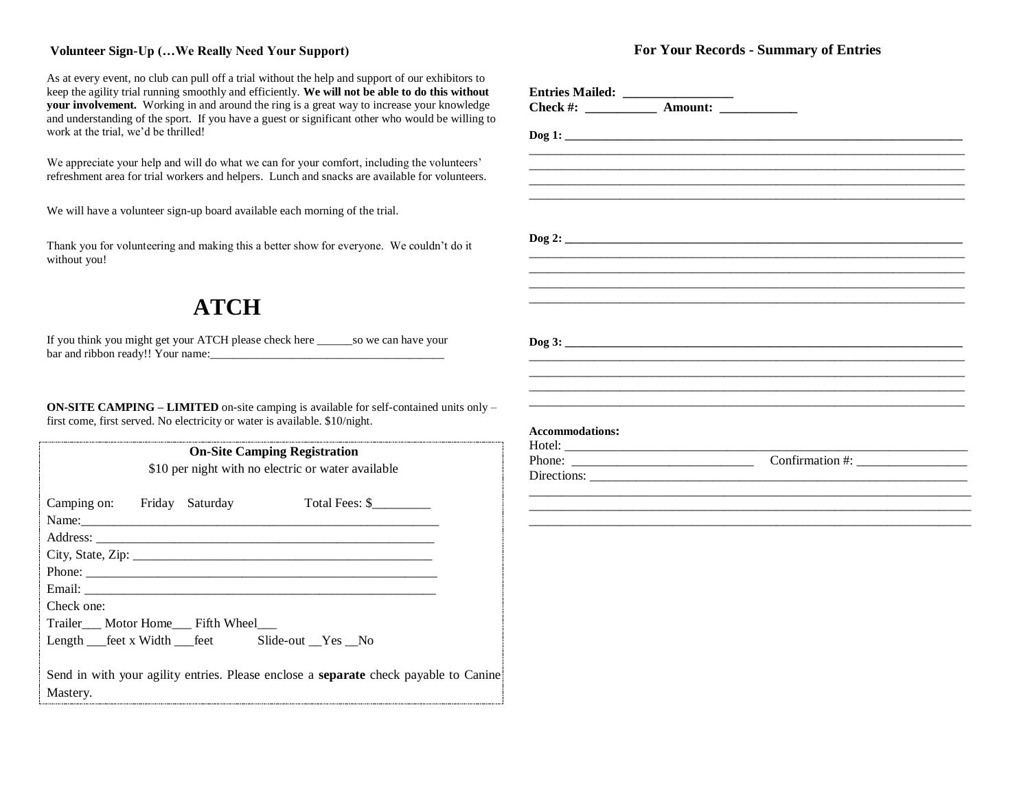### **Volunteer Sign-Up (…We Really Need Your Support)**

As at every event, no club can pull off a trial without the help and support of our exhibitors to keep the agility trial running smoothly and efficiently. **We will not be able to do this without your involvement.** Working in and around the ring is a great way to increase your knowledge and understanding of the sport. If you have a guest or significant other who would be willing to work at the trial, we'd be thrilled!

We appreciate your help and will do what we can for your comfort, including the volunteers' refreshment area for trial workers and helpers. Lunch and snacks are available for volunteers.

We will have a volunteer sign-up board available each morning of the trial.

Thank you for volunteering and making this a better show for everyone. We couldn't do it without you!

## **ATCH**

If you think you might get your ATCH please check here \_\_\_\_\_\_so we can have your bar and ribbon ready!! Your name:

**ON-SITE CAMPING – LIMITED** on-site camping is available for self-contained units only – first come, first served. No electricity or water is available. \$10/night.

| <b>On-Site Camping Registration</b><br>\$10 per night with no electric or water available |  |  |                                                                                                                                                                                                                                                  |  |  |  |  |  |
|-------------------------------------------------------------------------------------------|--|--|--------------------------------------------------------------------------------------------------------------------------------------------------------------------------------------------------------------------------------------------------|--|--|--|--|--|
| Camping on: Friday Saturday                                                               |  |  | Total Fees: \$<br>Name: 2008. [2016] Name: 2008. [2016] Name: 2008. [2016] 2016. [2016] 2016. [2016] 2016. [2016] 2016. [2016] 2016. [2016] 2016. [2016] 2016. [2016] 2016. [2016] 2016. [2016] 2016. [2016] 2016. [2016] 2016. [2016] 2016. [20 |  |  |  |  |  |
|                                                                                           |  |  |                                                                                                                                                                                                                                                  |  |  |  |  |  |
|                                                                                           |  |  |                                                                                                                                                                                                                                                  |  |  |  |  |  |
|                                                                                           |  |  | Phone:                                                                                                                                                                                                                                           |  |  |  |  |  |
|                                                                                           |  |  |                                                                                                                                                                                                                                                  |  |  |  |  |  |
| Check one:                                                                                |  |  |                                                                                                                                                                                                                                                  |  |  |  |  |  |
| Trailer Motor Home Fifth Wheel                                                            |  |  |                                                                                                                                                                                                                                                  |  |  |  |  |  |
|                                                                                           |  |  | Length __feet x Width __feet Slide-out __Yes __No                                                                                                                                                                                                |  |  |  |  |  |
|                                                                                           |  |  | Send in with your agility entries. Please enclose a <b>separate</b> check payable to Canine                                                                                                                                                      |  |  |  |  |  |
| Mastery.                                                                                  |  |  |                                                                                                                                                                                                                                                  |  |  |  |  |  |

## **For Your Records - Summary of Entries**

| <b>Accommodations:</b> |             |  |
|------------------------|-------------|--|
|                        |             |  |
|                        |             |  |
|                        | Directions: |  |
|                        |             |  |
|                        |             |  |
|                        |             |  |
|                        |             |  |
|                        |             |  |
|                        |             |  |
|                        |             |  |